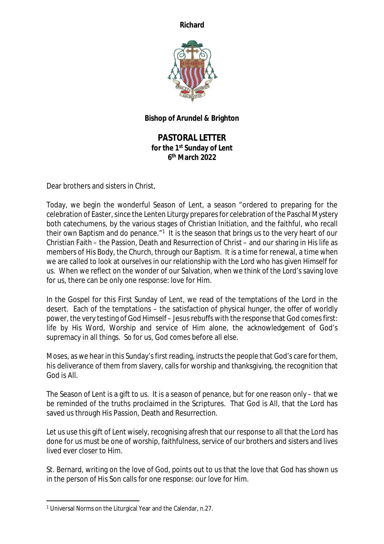**Richard**



## **Bishop of Arundel & Brighton**

**PASTORAL LETTER for the 1st Sunday of Lent 6 th March 2022**

Dear brothers and sisters in Christ,

Today, we begin the wonderful Season of Lent, a season "ordered to preparing for the celebration of Easter, since the Lenten Liturgy prepares for celebration of the Paschal Mystery both catechumens, by the various stages of Christian Initiation, and the faithful, who recall their own Baptism and do penance."<sup>1</sup> It is the season that brings us to the very heart of our Christian Faith – the Passion, Death and Resurrection of Christ – and our sharing in His life as members of His Body, the Church, through our Baptism. It is a time for renewal, a time when we are called to look at ourselves in our relationship with the Lord who has given Himself for us. When we reflect on the wonder of our Salvation, when we think of the Lord's saving love for us, there can be only one response: love for Him.

In the Gospel for this First Sunday of Lent, we read of the temptations of the Lord in the desert. Each of the temptations – the satisfaction of physical hunger, the offer of worldly power, the very testing of God Himself – Jesus rebuffs with the response that God comes first: life by His Word, Worship and service of Him alone, the acknowledgement of God's supremacy in all things. So for us, God comes before all else.

Moses, as we hear in this Sunday's first reading, instructs the people that God's care for them, his deliverance of them from slavery, calls for worship and thanksgiving, the recognition that God is All.

The Season of Lent is a gift to us. It is a season of penance, but for one reason only – that we be reminded of the truths proclaimed in the Scriptures. That God is All, that the Lord has saved us through His Passion, Death and Resurrection.

Let us use this gift of Lent wisely, recognising afresh that our response to all that the Lord has done for us must be one of worship, faithfulness, service of our brothers and sisters and lives lived ever closer to Him.

St. Bernard, writing on the love of God, points out to us that the love that God has shown us in the person of His Son calls for one response: our love for Him.

<sup>1</sup> Universal Norms on the Liturgical Year and the Calendar, n.27.